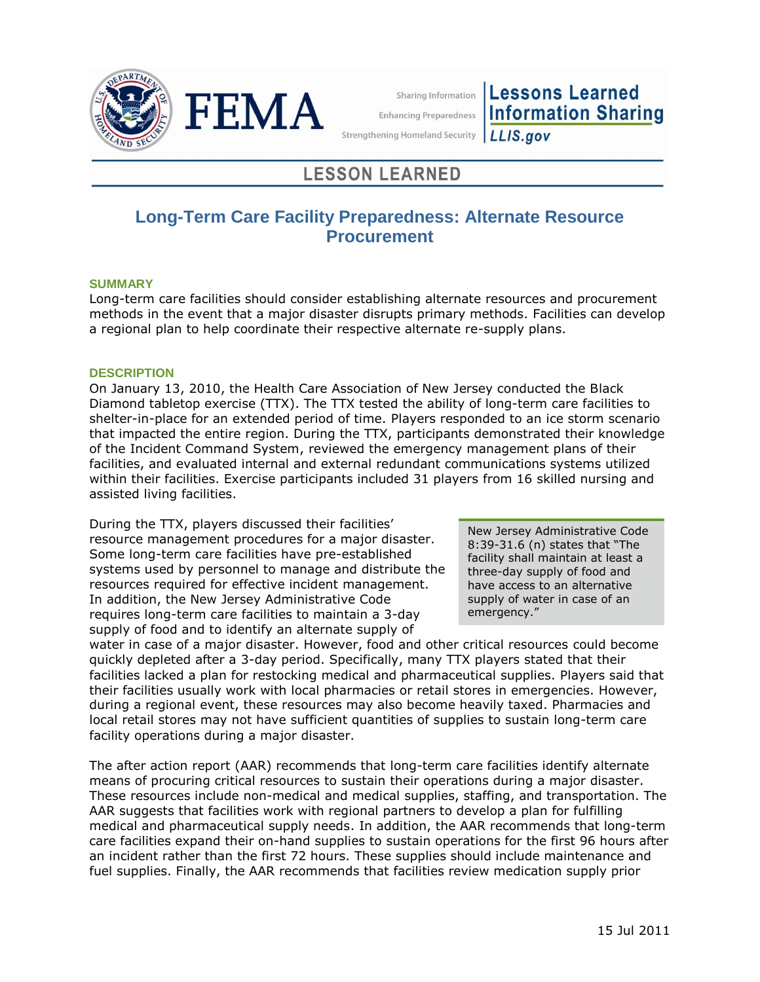



Sharing Information

**Lessons Learned Information Sharing Enhancing Preparedness** 

**Strengthening Homeland Security** 

# LLIS.gov

# **LESSON LEARNED**

# **Long-Term Care Facility Preparedness: Alternate Resource Procurement**

## **SUMMARY**

Long-term care facilities should consider establishing alternate resources and procurement methods in the event that a major disaster disrupts primary methods. Facilities can develop a regional plan to help coordinate their respective alternate re-supply plans.

## **DESCRIPTION**

On January 13, 2010, the Health Care Association of New Jersey conducted the Black Diamond tabletop exercise (TTX). The TTX tested the ability of long-term care facilities to shelter-in-place for an extended period of time. Players responded to an ice storm scenario that impacted the entire region. During the TTX, participants demonstrated their knowledge of the Incident Command System, reviewed the emergency management plans of their facilities, and evaluated internal and external redundant communications systems utilized within their facilities. Exercise participants included 31 players from 16 skilled nursing and assisted living facilities.

During the TTX, players discussed their facilities' resource management procedures for a major disaster. Some long-term care facilities have pre-established systems used by personnel to manage and distribute the resources required for effective incident management. In addition, the New Jersey Administrative Code requires long-term care facilities to maintain a 3-day supply of food and to identify an alternate supply of

New Jersey Administrative Code 8:39-31.6 (n) states that "The facility shall maintain at least a three-day supply of food and have access to an alternative supply of water in case of an emergency."

water in case of a major disaster. However, food and other critical resources could become quickly depleted after a 3-day period. Specifically, many TTX players stated that their facilities lacked a plan for restocking medical and pharmaceutical supplies. Players said that their facilities usually work with local pharmacies or retail stores in emergencies. However, during a regional event, these resources may also become heavily taxed. Pharmacies and local retail stores may not have sufficient quantities of supplies to sustain long-term care facility operations during a major disaster.

The after action report (AAR) recommends that long-term care facilities identify alternate means of procuring critical resources to sustain their operations during a major disaster. These resources include non-medical and medical supplies, staffing, and transportation. The AAR suggests that facilities work with regional partners to develop a plan for fulfilling medical and pharmaceutical supply needs. In addition, the AAR recommends that long-term care facilities expand their on-hand supplies to sustain operations for the first 96 hours after an incident rather than the first 72 hours. These supplies should include maintenance and fuel supplies. Finally, the AAR recommends that facilities review medication supply prior